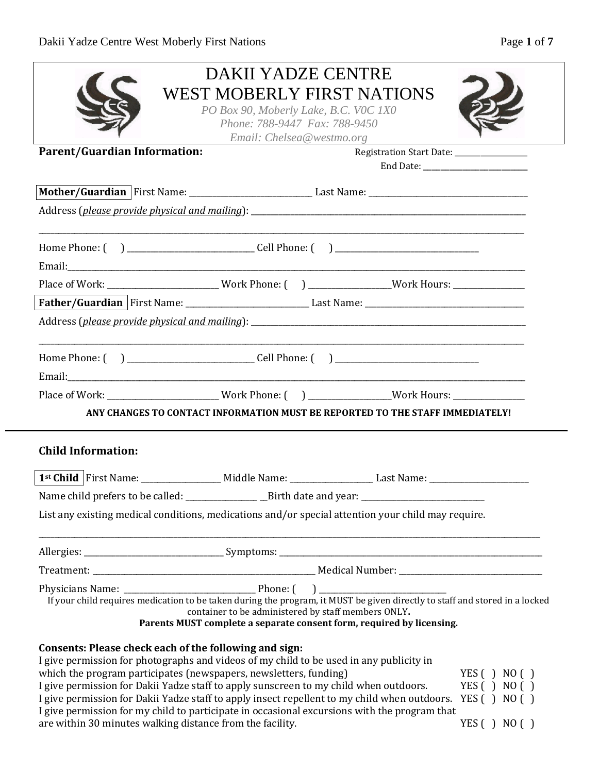| Page 1 of |  |  |
|-----------|--|--|
|           |  |  |

|                                                                                                                                                                                                           | <b>DAKII YADZE CENTRE</b>                                              | <b>WEST MOBERLY FIRST NATIONS</b>                                                                                            |              |
|-----------------------------------------------------------------------------------------------------------------------------------------------------------------------------------------------------------|------------------------------------------------------------------------|------------------------------------------------------------------------------------------------------------------------------|--------------|
|                                                                                                                                                                                                           | PO Box 90, Moberly Lake, B.C. VOC 1X0<br>Phone: 788-9447 Fax: 788-9450 |                                                                                                                              |              |
| <b>Parent/Guardian Information:</b>                                                                                                                                                                       | Email: Chelsea@westmo.org                                              |                                                                                                                              |              |
|                                                                                                                                                                                                           |                                                                        | Registration Start Date: _______________                                                                                     |              |
|                                                                                                                                                                                                           |                                                                        |                                                                                                                              |              |
|                                                                                                                                                                                                           |                                                                        |                                                                                                                              |              |
|                                                                                                                                                                                                           |                                                                        |                                                                                                                              |              |
|                                                                                                                                                                                                           |                                                                        |                                                                                                                              |              |
|                                                                                                                                                                                                           |                                                                        |                                                                                                                              |              |
|                                                                                                                                                                                                           |                                                                        |                                                                                                                              |              |
| Place of Work: _________________________Work Phone: ( ) _______________Work Hours: ________________                                                                                                       |                                                                        |                                                                                                                              |              |
|                                                                                                                                                                                                           |                                                                        |                                                                                                                              |              |
|                                                                                                                                                                                                           |                                                                        |                                                                                                                              |              |
|                                                                                                                                                                                                           |                                                                        |                                                                                                                              |              |
|                                                                                                                                                                                                           |                                                                        |                                                                                                                              |              |
|                                                                                                                                                                                                           |                                                                        |                                                                                                                              |              |
| Place of Work: _______________________Work Phone: () _______________Work Hours: ____________________                                                                                                      |                                                                        |                                                                                                                              |              |
| ANY CHANGES TO CONTACT INFORMATION MUST BE REPORTED TO THE STAFF IMMEDIATELY!                                                                                                                             |                                                                        |                                                                                                                              |              |
|                                                                                                                                                                                                           |                                                                        |                                                                                                                              |              |
| <b>Child Information:</b>                                                                                                                                                                                 |                                                                        |                                                                                                                              |              |
|                                                                                                                                                                                                           |                                                                        |                                                                                                                              |              |
|                                                                                                                                                                                                           |                                                                        |                                                                                                                              |              |
| List any existing medical conditions, medications and/or special attention your child may require.                                                                                                        |                                                                        |                                                                                                                              |              |
|                                                                                                                                                                                                           |                                                                        |                                                                                                                              |              |
|                                                                                                                                                                                                           |                                                                        |                                                                                                                              |              |
|                                                                                                                                                                                                           |                                                                        |                                                                                                                              |              |
|                                                                                                                                                                                                           |                                                                        |                                                                                                                              |              |
| If your child requires medication to be taken during the program, it MUST be given directly to staff and stored in a locked                                                                               |                                                                        |                                                                                                                              |              |
|                                                                                                                                                                                                           |                                                                        | container to be administered by staff members ONLY.<br>Parents MUST complete a separate consent form, required by licensing. |              |
|                                                                                                                                                                                                           |                                                                        |                                                                                                                              |              |
| Consents: Please check each of the following and sign:<br>I give permission for photographs and videos of my child to be used in any publicity in                                                         |                                                                        |                                                                                                                              |              |
| which the program participates (newspapers, newsletters, funding)                                                                                                                                         |                                                                        |                                                                                                                              | YES() NO()   |
| I give permission for Dakii Yadze staff to apply sunscreen to my child when outdoors.                                                                                                                     |                                                                        |                                                                                                                              | YES () NO () |
| I give permission for Dakii Yadze staff to apply insect repellent to my child when outdoors. YES () NO ()<br>I give permission for my child to participate in occasional excursions with the program that |                                                                        |                                                                                                                              |              |
| are within 30 minutes walking distance from the facility.                                                                                                                                                 |                                                                        |                                                                                                                              | YES() NO()   |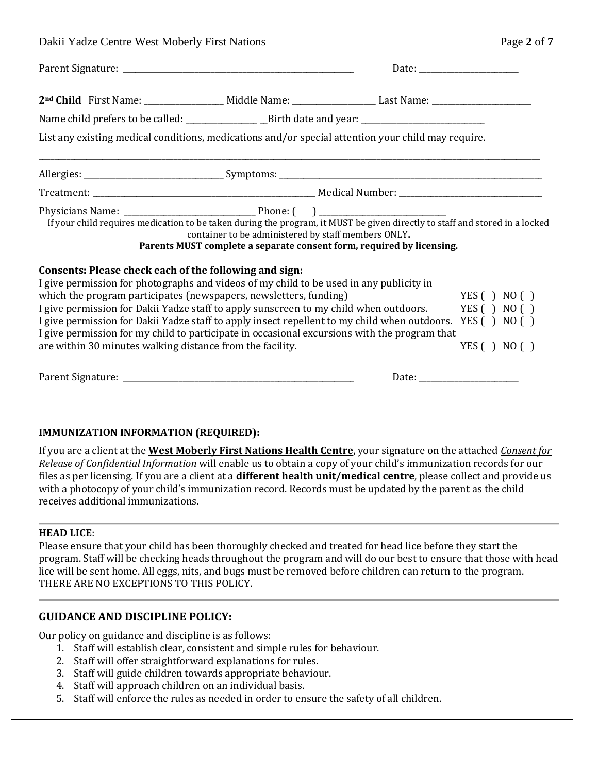Dakii Yadze Centre West Moberly First Nations

| Page 2 of 7 |  |  |
|-------------|--|--|
|             |  |  |

|                                                                                                                                                                                                                                                                                                                                                                                                                                                                                                                                                                                                        |                                                     |                                                                       | Date: $\frac{1}{\sqrt{1-\frac{1}{2}} \cdot \frac{1}{2}}$ |
|--------------------------------------------------------------------------------------------------------------------------------------------------------------------------------------------------------------------------------------------------------------------------------------------------------------------------------------------------------------------------------------------------------------------------------------------------------------------------------------------------------------------------------------------------------------------------------------------------------|-----------------------------------------------------|-----------------------------------------------------------------------|----------------------------------------------------------|
| 2 <sup>nd</sup> Child First Name: _________________ Middle Name: _____________________Last Name: _________________________                                                                                                                                                                                                                                                                                                                                                                                                                                                                             |                                                     |                                                                       |                                                          |
|                                                                                                                                                                                                                                                                                                                                                                                                                                                                                                                                                                                                        |                                                     |                                                                       |                                                          |
| List any existing medical conditions, medications and/or special attention your child may require.                                                                                                                                                                                                                                                                                                                                                                                                                                                                                                     |                                                     |                                                                       |                                                          |
|                                                                                                                                                                                                                                                                                                                                                                                                                                                                                                                                                                                                        |                                                     |                                                                       |                                                          |
|                                                                                                                                                                                                                                                                                                                                                                                                                                                                                                                                                                                                        |                                                     |                                                                       |                                                          |
| If your child requires medication to be taken during the program, it MUST be given directly to staff and stored in a locked                                                                                                                                                                                                                                                                                                                                                                                                                                                                            | container to be administered by staff members ONLY. | Parents MUST complete a separate consent form, required by licensing. |                                                          |
| Consents: Please check each of the following and sign:<br>I give permission for photographs and videos of my child to be used in any publicity in<br>which the program participates (newspapers, newsletters, funding)<br>I give permission for Dakii Yadze staff to apply sunscreen to my child when outdoors. YES () NO ()<br>I give permission for Dakii Yadze staff to apply insect repellent to my child when outdoors. YES () NO ()<br>I give permission for my child to participate in occasional excursions with the program that<br>are within 30 minutes walking distance from the facility. |                                                     |                                                                       | YES() NO()<br>YES $( )$ NO $( )$                         |
|                                                                                                                                                                                                                                                                                                                                                                                                                                                                                                                                                                                                        |                                                     |                                                                       |                                                          |

#### **IMMUNIZATION INFORMATION (REQUIRED):**

If you are a client at the **West Moberly First Nations Health Centre**, your signature on the attached *Consent for Release of Confidential Information* will enable us to obtain a copy of your child's immunization records for our files as per licensing. If you are a client at a **different health unit/medical centre**, please collect and provide us with a photocopy of your child's immunization record. Records must be updated by the parent as the child receives additional immunizations.

#### **HEAD LICE**:

Please ensure that your child has been thoroughly checked and treated for head lice before they start the program. Staff will be checking heads throughout the program and will do our best to ensure that those with head lice will be sent home. All eggs, nits, and bugs must be removed before children can return to the program. THERE ARE NO EXCEPTIONS TO THIS POLICY.

#### **GUIDANCE AND DISCIPLINE POLICY:**

Our policy on guidance and discipline is as follows:

- 1. Staff will establish clear, consistent and simple rules for behaviour.
- 2. Staff will offer straightforward explanations for rules.
- 3. Staff will guide children towards appropriate behaviour.
- 4. Staff will approach children on an individual basis.
- 5. Staff will enforce the rules as needed in order to ensure the safety of all children.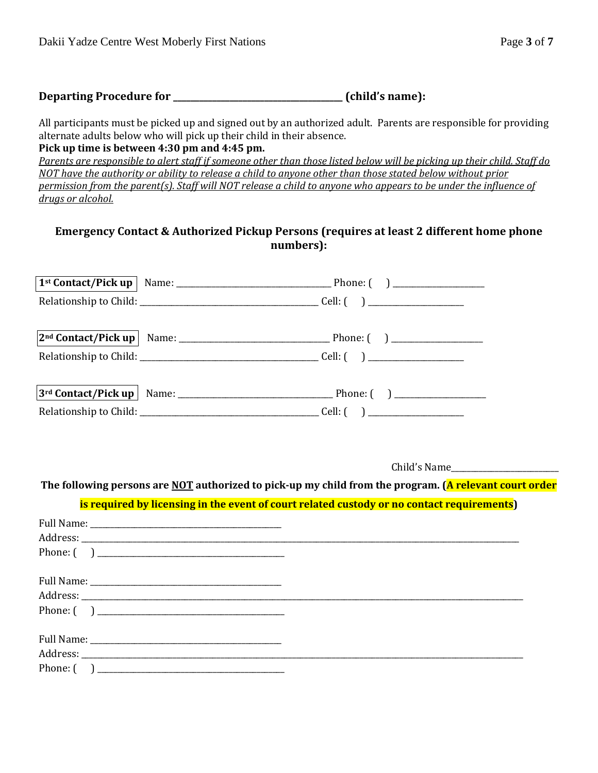| Departing Procedure for |  | (child's name): |  |
|-------------------------|--|-----------------|--|
|-------------------------|--|-----------------|--|

All participants must be picked up and signed out by an authorized adult. Parents are responsible for providing alternate adults below who will pick up their child in their absence.

**Pick up time is between 4:30 pm and 4:45 pm.**

*Parents are responsible to alert staff if someone other than those listed below will be picking up their child. Staff do NOT have the authority or ability to release a child to anyone other than those stated below without prior permission from the parent(s). Staff will NOT release a child to anyone who appears to be under the influence of drugs or alcohol.*

### **Emergency Contact & Authorized Pickup Persons (requires at least 2 different home phone numbers):**

Child's Name\_\_\_\_\_\_\_\_\_\_\_\_\_\_\_\_\_\_\_\_\_\_\_\_\_\_\_

**The following persons are NOT authorized to pick-up my child from the program. (A relevant court order** 

#### **is required by licensing in the event of court related custody or no contact requirements)**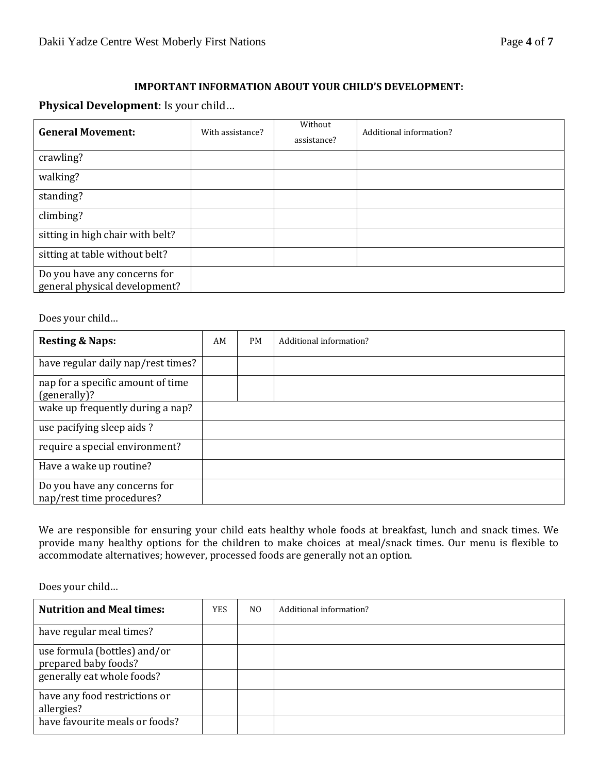#### **IMPORTANT INFORMATION ABOUT YOUR CHILD'S DEVELOPMENT:**

#### **Physical Development**: Is your child…

| <b>General Movement:</b>                                      | With assistance? | Without<br>assistance? | Additional information? |
|---------------------------------------------------------------|------------------|------------------------|-------------------------|
| crawling?                                                     |                  |                        |                         |
| walking?                                                      |                  |                        |                         |
| standing?                                                     |                  |                        |                         |
| climbing?                                                     |                  |                        |                         |
| sitting in high chair with belt?                              |                  |                        |                         |
| sitting at table without belt?                                |                  |                        |                         |
| Do you have any concerns for<br>general physical development? |                  |                        |                         |

Does your child…

| <b>Resting &amp; Naps:</b>                                | AM | <b>PM</b> | Additional information? |
|-----------------------------------------------------------|----|-----------|-------------------------|
| have regular daily nap/rest times?                        |    |           |                         |
| nap for a specific amount of time<br>(generally)?         |    |           |                         |
| wake up frequently during a nap?                          |    |           |                         |
| use pacifying sleep aids?                                 |    |           |                         |
| require a special environment?                            |    |           |                         |
| Have a wake up routine?                                   |    |           |                         |
| Do you have any concerns for<br>nap/rest time procedures? |    |           |                         |

We are responsible for ensuring your child eats healthy whole foods at breakfast, lunch and snack times. We provide many healthy options for the children to make choices at meal/snack times. Our menu is flexible to accommodate alternatives; however, processed foods are generally not an option.

Does your child…

| <b>Nutrition and Meal times:</b>                     | YES | NO. | Additional information? |
|------------------------------------------------------|-----|-----|-------------------------|
| have regular meal times?                             |     |     |                         |
| use formula (bottles) and/or<br>prepared baby foods? |     |     |                         |
| generally eat whole foods?                           |     |     |                         |
| have any food restrictions or<br>allergies?          |     |     |                         |
| have favourite meals or foods?                       |     |     |                         |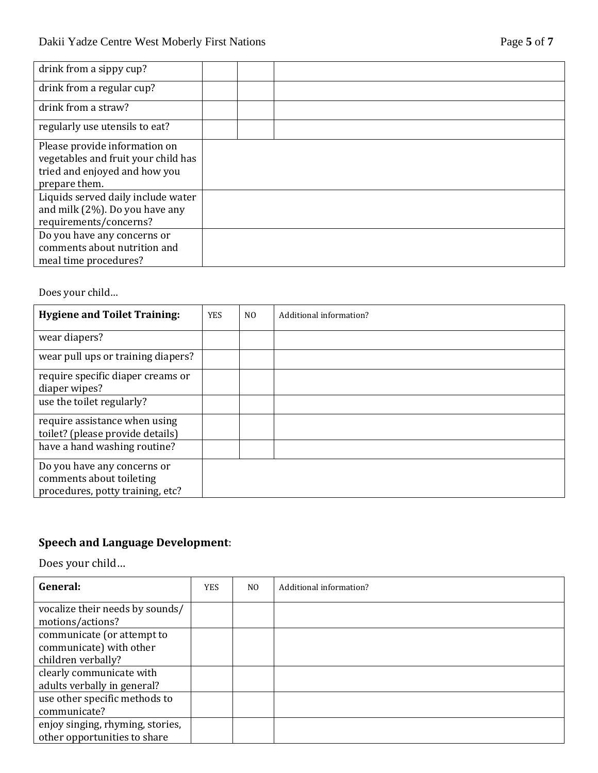| drink from a sippy cup?                                                                                                |  |  |
|------------------------------------------------------------------------------------------------------------------------|--|--|
| drink from a regular cup?                                                                                              |  |  |
| drink from a straw?                                                                                                    |  |  |
| regularly use utensils to eat?                                                                                         |  |  |
| Please provide information on<br>vegetables and fruit your child has<br>tried and enjoyed and how you<br>prepare them. |  |  |
| Liquids served daily include water<br>and milk (2%). Do you have any<br>requirements/concerns?                         |  |  |
| Do you have any concerns or<br>comments about nutrition and<br>meal time procedures?                                   |  |  |

Does your child…

| <b>Hygiene and Toilet Training:</b>                                                         | <b>YES</b> | N <sub>0</sub> | Additional information? |
|---------------------------------------------------------------------------------------------|------------|----------------|-------------------------|
| wear diapers?                                                                               |            |                |                         |
| wear pull ups or training diapers?                                                          |            |                |                         |
| require specific diaper creams or<br>diaper wipes?                                          |            |                |                         |
| use the toilet regularly?                                                                   |            |                |                         |
| require assistance when using<br>toilet? (please provide details)                           |            |                |                         |
| have a hand washing routine?                                                                |            |                |                         |
| Do you have any concerns or<br>comments about toileting<br>procedures, potty training, etc? |            |                |                         |

# **Speech and Language Development**:

Does your child…

| General:                                                                    | <b>YES</b> | N <sub>O</sub> | Additional information? |
|-----------------------------------------------------------------------------|------------|----------------|-------------------------|
| vocalize their needs by sounds/<br>motions/actions?                         |            |                |                         |
| communicate (or attempt to<br>communicate) with other<br>children verbally? |            |                |                         |
| clearly communicate with<br>adults verbally in general?                     |            |                |                         |
| use other specific methods to<br>communicate?                               |            |                |                         |
| enjoy singing, rhyming, stories,<br>other opportunities to share            |            |                |                         |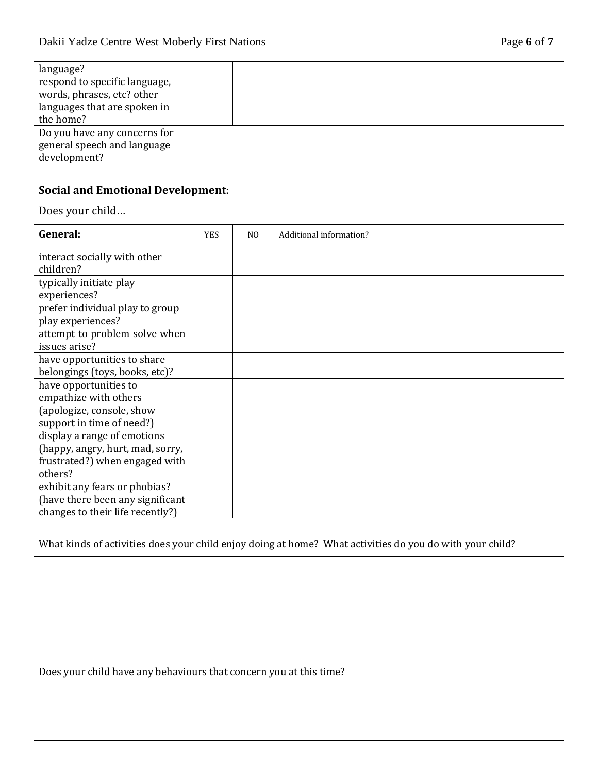| language?                                                                                                |  |  |
|----------------------------------------------------------------------------------------------------------|--|--|
| respond to specific language,<br>words, phrases, etc? other<br>languages that are spoken in<br>the home? |  |  |
| Do you have any concerns for<br>general speech and language<br>development?                              |  |  |

## **Social and Emotional Development**:

Does your child…

| General:                                                                                              | <b>YES</b> | N <sub>0</sub> | Additional information? |
|-------------------------------------------------------------------------------------------------------|------------|----------------|-------------------------|
| interact socially with other<br>children?                                                             |            |                |                         |
| typically initiate play<br>experiences?                                                               |            |                |                         |
| prefer individual play to group<br>play experiences?                                                  |            |                |                         |
| attempt to problem solve when<br>issues arise?                                                        |            |                |                         |
| have opportunities to share<br>belongings (toys, books, etc)?                                         |            |                |                         |
| have opportunities to<br>empathize with others                                                        |            |                |                         |
| (apologize, console, show<br>support in time of need?)                                                |            |                |                         |
| display a range of emotions<br>(happy, angry, hurt, mad, sorry,                                       |            |                |                         |
| frustrated?) when engaged with<br>others?                                                             |            |                |                         |
| exhibit any fears or phobias?<br>(have there been any significant<br>changes to their life recently?) |            |                |                         |

What kinds of activities does your child enjoy doing at home? What activities do you do with your child?

Does your child have any behaviours that concern you at this time?